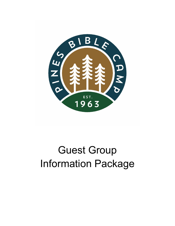

# Guest Group Information Package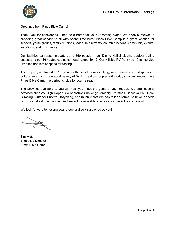

Greetings from Pines Bible Camp!

Thank you for considering Pines as a home for your upcoming event. We pride ourselves in providing great service to all who spend time here. Pines Bible Camp is a great location for schools, youth groups, family reunions, leadership retreats, church functions, community events, weddings, and much more!

Our facilities can accommodate up to 350 people in our Dining Hall (including outdoor eating space) and our 16 heated cabins can each sleep 10-12. Our Hillside RV Park has 19 full-service RV sites and lots of space for tenting.

The property is situated on 160 acres with tons of room for hiking, wide games, and just spreading out and relaxing. The natural beauty of God's creation coupled with today's conveniences make Pines Bible Camp the perfect choice for your retreat.

The activities available to you will help you meet the goals of your retreat. We offer several activities such as: High Ropes, Co-operative Challenge, Archery, Paintball, Bazooka Ball, Rock Climbing, Outdoor Survival, Kayaking, and much more! We can tailor a retreat to fit your needs or you can do all the planning and we will be available to ensure your event is successful.

We look forward to hosting your group and serving alongside you!

Tim Metz Executive Director Pines Bible Camp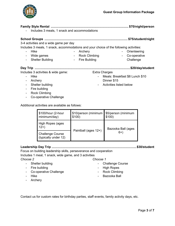

- Orienteering

Challenge

- Co-operative

**Family Style Rental ....................................................................................... \$70/night/person**

- Includes 3 meals, 1 snack and accommodations

#### **School Groups ............................................................................................. \$75/student/night**

3-4 activities and a wide game per day

Includes 3 meals, 1 snack, accommodations and your choice of the following activities:

- Hike
- Wide games
- Archery
- Rock Climbing
- Shelter Building
- Fire Building

## **Day Trip ........................................................................................................... \$20/day/student**

Includes 3 activities & wide game:

- Hike
- Archery
- Shelter building
- Fire building
- Rock Climbing
- Co-operative Challenge

Additional activities are available as follows:

| \$100/hour (2-hour<br>minimum/day)              | \$10/person (minimum<br>\$100) | \$5/person (minimum<br>\$100) |  |
|-------------------------------------------------|--------------------------------|-------------------------------|--|
| High Ropes (ages<br>$12+$                       |                                | Bazooka Ball (ages            |  |
| <b>Challenge Course</b><br>(typically under 12) | Paintball (ages 12+)           | $6+$                          |  |

### **Leadership Day Trip ...............................................................................................\$30/student**

Focus on building leadership skills, perseverance and cooperation Includes 1 meal, 1 snack, wide game, and 3 activities

*Choose 2*

- Shelter building
- Fire building
- Co-operative Challenge
- Hike
- Archery
- *Choose 1*
	- Challenge Course
	- High Ropes
	- Rock Climbing
	- Bazooka Ball

Contact us for custom rates for birthday parties, staff events, family activity days, etc.

- 
- Meals: Breakfast \$8 Lunch \$10 Dinner \$15
- Activities listed below

Extra Charges

- 
-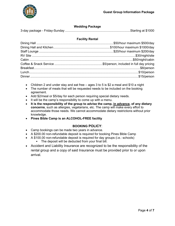

#### **Wedding Package**

|--|--|

#### **Facility Rental**

- Children 2 and under stay and eat free  $-$  ages 3 to 5 is \$2 a meal and \$10 a night
- The number of meals that will be requested needs to be included on the booking agreement.
- Add \$2/meal or \$5/day for each person requiring special dietary needs.
- It will be the camp's responsibility to come up with a menu.
- **It is the responsibility of the group to advise the camp, in advance, of any dietary concerns**, such as allergies, vegetarians, etc. The camp will make every effort to accommodate those needs. We cannot accommodate dietary restrictions without prior knowledge.
- **Pines Bible Camp is an ALCOHOL-FREE facility**

#### **BOOKING POLICY**:

- Camp bookings can be made two years in advance.
- A \$200.00 non-refundable deposit is required for booking Pines Bible Camp
- A \$100.00 non-refundable deposit is required for day groups (i.e.: schools)
	- The deposit will be deducted from your final bill.
- Accident and Liability Insurance are recognized to be the responsibility of the rental group and a copy of said Insurance must be provided prior to or upon arrival.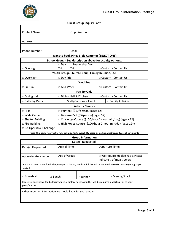

#### **Guest Group Inquiry Form**

| <b>Contact Name:</b>                                                                                                               |                                            | Organization:        |           |                                       |                       |                                                                                                                         |  |  |
|------------------------------------------------------------------------------------------------------------------------------------|--------------------------------------------|----------------------|-----------|---------------------------------------|-----------------------|-------------------------------------------------------------------------------------------------------------------------|--|--|
|                                                                                                                                    |                                            |                      |           |                                       |                       |                                                                                                                         |  |  |
| Address:                                                                                                                           |                                            |                      |           |                                       |                       |                                                                                                                         |  |  |
|                                                                                                                                    |                                            |                      |           |                                       |                       |                                                                                                                         |  |  |
| Phone Number:                                                                                                                      |                                            |                      | Email:    |                                       |                       |                                                                                                                         |  |  |
| I want to book Pines Bible Camp for (SELECT ONE):                                                                                  |                                            |                      |           |                                       |                       |                                                                                                                         |  |  |
| School Group - See description above for activity options.                                                                         |                                            |                      |           |                                       |                       |                                                                                                                         |  |  |
|                                                                                                                                    |                                            | $\square$ Day        |           | $\Box$ Leadership Day                 |                       |                                                                                                                         |  |  |
| □ Overnight                                                                                                                        |                                            | Trip                 | Trip      |                                       | □ Custom - Contact Us |                                                                                                                         |  |  |
| Youth Group, Church Group, Family Reunion, Etc.                                                                                    |                                            |                      |           |                                       |                       |                                                                                                                         |  |  |
| □ Overnight                                                                                                                        |                                            | $\Box$ Day Trip      |           |                                       | □ Custom - Contact Us |                                                                                                                         |  |  |
|                                                                                                                                    |                                            |                      |           | Wedding                               |                       |                                                                                                                         |  |  |
| □ Fri-Sun                                                                                                                          |                                            | □ Mid-Week           |           |                                       |                       | □ Custom - Contact Us                                                                                                   |  |  |
|                                                                                                                                    |                                            |                      |           | <b>Facility Only</b>                  |                       |                                                                                                                         |  |  |
| □ Dining Hall                                                                                                                      |                                            |                      |           | Dining Hall & Kitchen                 |                       | □ Custom - Contact Us                                                                                                   |  |  |
| $\Box$ Birthday Party                                                                                                              |                                            |                      |           | □ Staff/Corporate Event               |                       | $\square$ Family Activities                                                                                             |  |  |
|                                                                                                                                    |                                            |                      |           | <b>Activity Choices</b>               |                       |                                                                                                                         |  |  |
| □ Hike<br>$\Box$ Paintball (\$10/person) (ages 12+)                                                                                |                                            |                      |           |                                       |                       |                                                                                                                         |  |  |
| □ Wide Game                                                                                                                        | $\Box$ Bazooka Ball (\$5/person) (ages 5+) |                      |           |                                       |                       |                                                                                                                         |  |  |
| $\Box$ Shelter Building                                                                                                            |                                            |                      |           |                                       |                       | $\Box$ Challenge Course (\$100/hour 2-hour min/day) (ages <12)                                                          |  |  |
| $\Box$ Fire Building                                                                                                               |                                            |                      |           |                                       |                       | □ High Ropes Course (\$100/hour 2-hour min/day (ages 12+)                                                               |  |  |
| □ Co-Operative Challenge                                                                                                           |                                            |                      |           |                                       |                       |                                                                                                                         |  |  |
|                                                                                                                                    |                                            |                      |           |                                       |                       | Pines Bible Camp reserves the right to limit activity availability based on staffing, weather, and ages of participants |  |  |
|                                                                                                                                    |                                            |                      |           | <b>Group Information</b>              |                       |                                                                                                                         |  |  |
|                                                                                                                                    |                                            |                      |           | Date(s) Requested:                    |                       |                                                                                                                         |  |  |
| Date(s) Requested:                                                                                                                 |                                            | <b>Arrival Time:</b> |           |                                       | Departure Time:       |                                                                                                                         |  |  |
|                                                                                                                                    |                                            |                      |           |                                       |                       |                                                                                                                         |  |  |
| Age of Group:<br>Approximate Number:                                                                                               |                                            |                      |           | $\Box$ We require meals/snacks Please |                       |                                                                                                                         |  |  |
|                                                                                                                                    |                                            |                      |           | indicate # of meals below             |                       |                                                                                                                         |  |  |
| Please list any known food allergies/special dietary needs. A full list will be required 2 weeks prior to your group's<br>arrival. |                                            |                      |           |                                       |                       |                                                                                                                         |  |  |
| □ Breakfast:                                                                                                                       | □ Lunch:                                   |                      | □ Dinner: |                                       |                       | □ Evening Snack:                                                                                                        |  |  |
| Please list any known food allergies/special dietary needs. A full list will be required 2 weeks prior to your<br>group's arrival. |                                            |                      |           |                                       |                       |                                                                                                                         |  |  |

Other important information we should know for your group: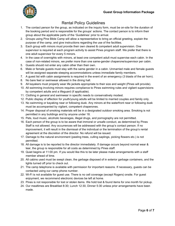

# Rental Policy Guidelines

- 1. The contact person for the group, as indicated on the inquiry form, must be on-site for the duration of the booking period and is responsible for the groups' actions. The contact person is to inform their group about the applicable parts of the 'Guidelines' prior to arrival.
- 2. Groups using Pine Bible Camp will allow a representative to bring an official greeting, explain the purpose of the camp, and give instructions regarding the use of the facilities.
- 3. Each group with minors must provide their own cleared & competent adult supervision. One supervisor is required at each program activity to assist Pines program staff. We prefer that there is one adult supervisor for every 5 minors.
- 4. In the case of overnights with minors, at least one competent adult must supervise each cabin. In the case of non-related minors, we prefer more than one same-gender chaperone/supervisor per cabin.
- 5. Guests should not enter any cabin other than their own.
- 6. Male or female guests must stay with the same gender in a cabin. Unmarried male and female guests will be assigned separate sleeping accommodations unless immediate family members.
- 7. A guest list with cabin assignments is required in the event of an emergency (3 blasts of the air horn).
- 8. No bare feet or swimwear allowed in the dining hall.
- 9. All kayakers must properly wear life jackets appropriate to their size and weight (Pines will provide).
- 10. All swimming involving minors requires compliance to Pines swimming rules and vigilant supervisions by competent adults and a lifeguard (if applicable).
- 11. Clothing in general and swimwear in specific needs to conservatively modest.
- 12. Public display of affection for youth/young adults will be limited to married couples and family only.
- 13. No swimming or kayaking near or following dusk. Any minors at the waterfront near or following dusk must be accompanied by vigilant, competent chaperones.
- 14. Proper disposal of smoking materials will be in a designated outdoor smoking area. Smoking is not permitted in any buildings and by anyone under 18.
- 15. Pets, loud music, alcoholic beverages, illegal drugs, and pornography are not permitted.
- 16. Each person of the group is to be aware that immoral or unsafe conduct, as determined by Pines Staff is not allowed. Any occurrences will be addressed with the group's contact person. If no improvement, it will result in the dismissal of the individual or the termination of the group's rental agreement at the discretion of the director. No refund will be issued.
- 17. Damage to the natural environment (peeling trees, culling saplings, picking flowers etc.) is not permitted.
- 18. All damage is to be reported to the director immediately. If damage occurs beyond normal wear & tear, the group is responsible for all costs as determined by Pines staff.
- 19. Quiet begins at 11:00 pm. If you would like this to be later please make arrangements with a staff member ahead of time.
- 20. All cabins used must be swept clean, the garbage disposed of in exterior garbage containers, and the lights turned off prior to check out.
- 21. The camp telephone is available with permission for important reasons. If necessary, guests can be contacted using our camp phone number.
- 22. Wi-Fi is not available for guest use. There is no cell coverage (except Rogers) onsite. For guest enjoyment, we recommend electronic devices be left at home.
- 23. Pines is not responsible for lost or stolen items. We hold lost & found items for one month for pickup.
- 24. Our mealtimes are Breakfast 8:30; Lunch 12:30, Dinner 5:30 unless prior arrangements have been made.